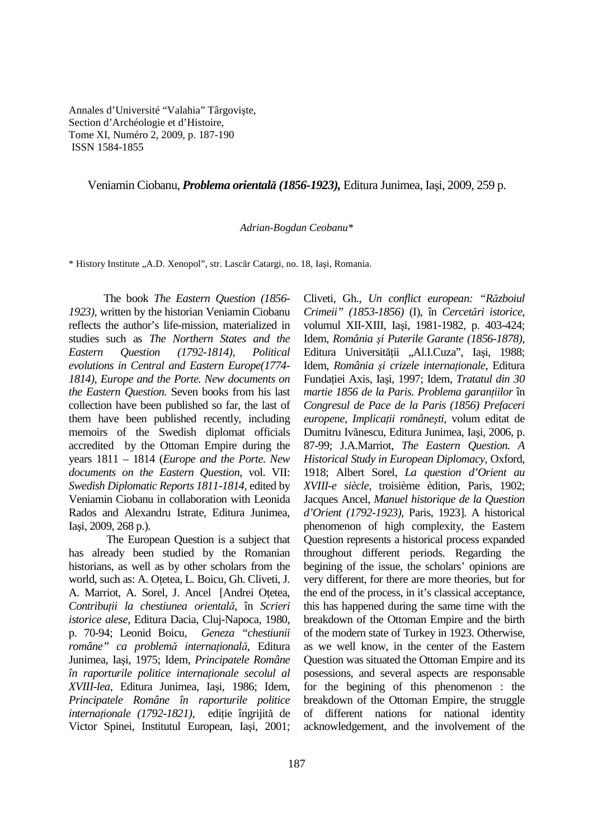Annales d'Université "Valahia" Târgovişte, Section d'Archéologie et d'Histoire, Tome XI, Numéro 2, 2009, p. 187-190 ISSN 1584-1855

## Veniamin Ciobanu, *Problema orientală (1856-1923),* Editura Junimea, Iaşi, 2009, 259 p.

## *Adrian-Bogdan Ceobanu\**

\* History Institute "A.D. Xenopol", str. Lascăr Catargi, no. 18, Iaşi, Romania.

The book *The Eastern Question (1856- 1923),* written by the historian Veniamin Ciobanu reflects the author's life-mission, materialized in studies such as *The Northern States and the Eastern Question (1792-1814), Political evolutions in Central and Eastern Europe(1774- 1814), Europe and the Porte. New documents on the Eastern Question.* Seven books from his last collection have been published so far, the last of them have been published recently, including memoirs of the Swedish diplomat officials accredited by the Ottoman Empire during the years 1811 – 1814 (*Europe and the Porte. New documents on the Eastern Question*, vol. VII: *Swedish Diplomatic Reports 1811-1814,* edited by Veniamin Ciobanu in collaboration with Leonida Rados and Alexandru Istrate, Editura Junimea, Iaşi, 2009, 268 p.).

 The European Question is a subject that has already been studied by the Romanian historians, as well as by other scholars from the world, such as: A. Otetea, L. Boicu, Gh. Cliveti, J. A. Marriot, A. Sorel, J. Ancel [Andrei Oțetea, *ContribuŃii la chestiunea orientală*, în *Scrieri istorice alese*, Editura Dacia, Cluj-Napoca, 1980, p. 70-94; Leonid Boicu, *Geneza "chestiunii*   $r$ omâne" ca problemă internațională, Editura Junimea, Iaşi, 1975; Idem, *Principatele Române*   $\hat{i}$ *n* raporturile politice internationale secolul al *XVIII-lea,* Editura Junimea, Iaşi, 1986; Idem, *Principatele Române în raporturile politice internaționale (1792-1821),* ediție îngrijită de Victor Spinei, Institutul European, Iaşi, 2001;

*Crimeii" (1853-1856)* (I), în *Cercetări istorice*, volumul XII-XIII, Iaşi, 1981-1982, p. 403-424; Idem, *România şi Puterile Garante (1856-1878),* Editura Universității "Al.I.Cuza", Iași, 1988; Idem, *România și crizele internationale*, Editura Fundației Axis, Iași, 1997; Idem, *Tratatul din 30 martie 1856 de la Paris. Problema garanțiilor* în *Congresul de Pace de la Paris (1856) Prefaceri*   $e$ uropene, Implicații românești, volum editat de Dumitru Ivănescu, Editura Junimea, Iaşi, 2006, p. 87-99; J.A.Marriot, *The Eastern Question. A Historical Study in European Diplomacy,* Oxford, 1918; Albert Sorel, *La question d'Orient au XVIII-e siècle,* troisième èdition, Paris, 1902; Jacques Ancel, *Manuel historique de la Question d'Orient (1792-1923),* Paris, 1923]. A historical phenomenon of high complexity, the Eastern Question represents a historical process expanded throughout different periods. Regarding the begining of the issue, the scholars' opinions are very different, for there are more theories, but for the end of the process, in it's classical acceptance, this has happened during the same time with the breakdown of the Ottoman Empire and the birth of the modern state of Turkey in 1923. Otherwise, as we well know, in the center of the Eastern Question was situated the Ottoman Empire and its posessions, and several aspects are responsable for the begining of this phenomenon : the breakdown of the Ottoman Empire, the struggle of different nations for national identity acknowledgement, and the involvement of the

Cliveti, Gh., *Un conflict european: "Războiul*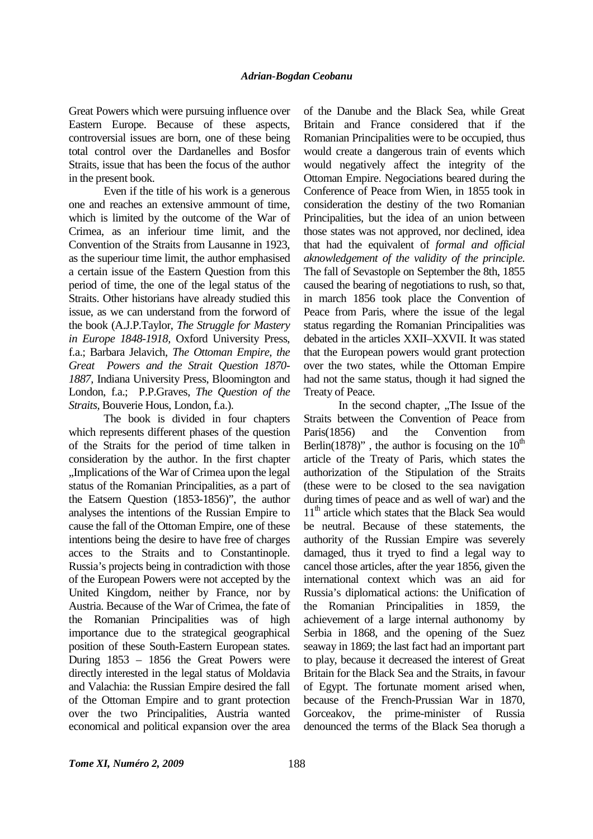Great Powers which were pursuing influence over Eastern Europe. Because of these aspects, controversial issues are born, one of these being total control over the Dardanelles and Bosfor Straits, issue that has been the focus of the author in the present book.

Even if the title of his work is a generous one and reaches an extensive ammount of time, which is limited by the outcome of the War of Crimea, as an inferiour time limit, and the Convention of the Straits from Lausanne in 1923, as the superiour time limit, the author emphasised a certain issue of the Eastern Question from this period of time, the one of the legal status of the Straits. Other historians have already studied this issue, as we can understand from the forword of the book (A.J.P.Taylor, *The Struggle for Mastery in Europe 1848-1918,* Oxford University Press, f.a.; Barbara Jelavich, *The Ottoman Empire, the Great Powers and the Strait Question 1870- 1887,* Indiana University Press, Bloomington and London, f.a.; P.P.Graves, *The Question of the Straits,* Bouverie Hous, London, f.a.).

 The book is divided in four chapters which represents different phases of the question of the Straits for the period of time talken in consideration by the author. In the first chapter "Implications of the War of Crimea upon the legal status of the Romanian Principalities, as a part of the Eatsern Question (1853-1856)", the author analyses the intentions of the Russian Empire to cause the fall of the Ottoman Empire, one of these intentions being the desire to have free of charges acces to the Straits and to Constantinople. Russia's projects being in contradiction with those of the European Powers were not accepted by the United Kingdom, neither by France, nor by Austria. Because of the War of Crimea, the fate of the Romanian Principalities was of high importance due to the strategical geographical position of these South-Eastern European states. During 1853 – 1856 the Great Powers were directly interested in the legal status of Moldavia and Valachia: the Russian Empire desired the fall of the Ottoman Empire and to grant protection over the two Principalities, Austria wanted economical and political expansion over the area

of the Danube and the Black Sea, while Great Britain and France considered that if the Romanian Principalities were to be occupied, thus would create a dangerous train of events which would negatively affect the integrity of the Ottoman Empire. Negociations beared during the Conference of Peace from Wien, in 1855 took in consideration the destiny of the two Romanian Principalities, but the idea of an union between those states was not approved, nor declined, idea that had the equivalent of *formal and official aknowledgement of the validity of the principle*. The fall of Sevastople on September the 8th, 1855 caused the bearing of negotiations to rush, so that, in march 1856 took place the Convention of Peace from Paris, where the issue of the legal status regarding the Romanian Principalities was debated in the articles XXII–XXVII. It was stated that the European powers would grant protection over the two states, while the Ottoman Empire had not the same status, though it had signed the Treaty of Peace.

In the second chapter, "The Issue of the Straits between the Convention of Peace from Paris(1856) and the Convention from Berlin(1878)", the author is focusing on the  $10^{th}$ article of the Treaty of Paris, which states the authorization of the Stipulation of the Straits (these were to be closed to the sea navigation during times of peace and as well of war) and the  $11<sup>th</sup>$  article which states that the Black Sea would be neutral. Because of these statements, the authority of the Russian Empire was severely damaged, thus it tryed to find a legal way to cancel those articles, after the year 1856, given the international context which was an aid for Russia's diplomatical actions: the Unification of the Romanian Principalities in 1859, the achievement of a large internal authonomy by Serbia in 1868, and the opening of the Suez seaway in 1869; the last fact had an important part to play, because it decreased the interest of Great Britain for the Black Sea and the Straits, in favour of Egypt. The fortunate moment arised when, because of the French-Prussian War in 1870, Gorceakov, the prime-minister of Russia denounced the terms of the Black Sea thorugh a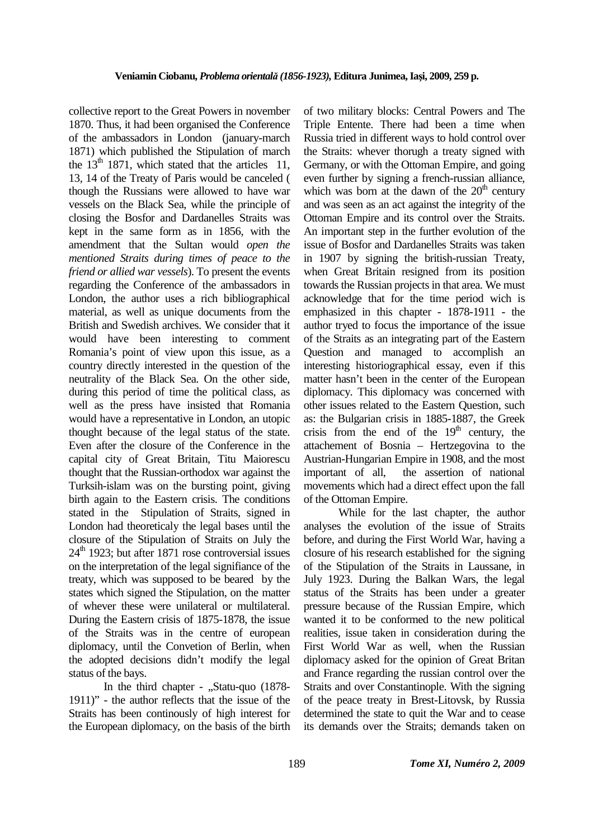collective report to the Great Powers in november 1870. Thus, it had been organised the Conference of the ambassadors in London (january-march 1871) which published the Stipulation of march the  $13<sup>th</sup> 1871$ , which stated that the articles 11, 13, 14 of the Treaty of Paris would be canceled ( though the Russians were allowed to have war vessels on the Black Sea, while the principle of closing the Bosfor and Dardanelles Straits was kept in the same form as in 1856, with the amendment that the Sultan would *open the mentioned Straits during times of peace to the friend or allied war vessels*). To present the events regarding the Conference of the ambassadors in London, the author uses a rich bibliographical material, as well as unique documents from the British and Swedish archives. We consider that it would have been interesting to comment Romania's point of view upon this issue, as a country directly interested in the question of the neutrality of the Black Sea. On the other side, during this period of time the political class, as well as the press have insisted that Romania would have a representative in London, an utopic thought because of the legal status of the state. Even after the closure of the Conference in the capital city of Great Britain, Titu Maiorescu thought that the Russian-orthodox war against the Turksih-islam was on the bursting point, giving birth again to the Eastern crisis. The conditions stated in the Stipulation of Straits, signed in London had theoreticaly the legal bases until the closure of the Stipulation of Straits on July the  $24<sup>th</sup>$  1923; but after 1871 rose controversial issues on the interpretation of the legal signifiance of the treaty, which was supposed to be beared by the states which signed the Stipulation, on the matter of whever these were unilateral or multilateral. During the Eastern crisis of 1875-1878, the issue of the Straits was in the centre of european diplomacy, until the Convetion of Berlin, when the adopted decisions didn't modify the legal status of the bays.

In the third chapter -  $,$ Statu-quo (1878-1911)" - the author reflects that the issue of the Straits has been continously of high interest for the European diplomacy, on the basis of the birth of two military blocks: Central Powers and The Triple Entente. There had been a time when Russia tried in different ways to hold control over the Straits: whever thorugh a treaty signed with Germany, or with the Ottoman Empire, and going even further by signing a french-russian alliance, which was born at the dawn of the  $20<sup>th</sup>$  century and was seen as an act against the integrity of the Ottoman Empire and its control over the Straits. An important step in the further evolution of the issue of Bosfor and Dardanelles Straits was taken in 1907 by signing the british-russian Treaty, when Great Britain resigned from its position towards the Russian projects in that area. We must acknowledge that for the time period wich is emphasized in this chapter - 1878-1911 - the author tryed to focus the importance of the issue of the Straits as an integrating part of the Eastern Question and managed to accomplish an interesting historiographical essay, even if this matter hasn't been in the center of the European diplomacy. This diplomacy was concerned with other issues related to the Eastern Question, such as: the Bulgarian crisis in 1885-1887, the Greek crisis from the end of the  $19<sup>th</sup>$  century, the attachement of Bosnia – Hertzegovina to the Austrian-Hungarian Empire in 1908, and the most important of all, the assertion of national movements which had a direct effect upon the fall of the Ottoman Empire.

 While for the last chapter, the author analyses the evolution of the issue of Straits before, and during the First World War, having a closure of his research established for the signing of the Stipulation of the Straits in Laussane, in July 1923. During the Balkan Wars, the legal status of the Straits has been under a greater pressure because of the Russian Empire, which wanted it to be conformed to the new political realities, issue taken in consideration during the First World War as well, when the Russian diplomacy asked for the opinion of Great Britan and France regarding the russian control over the Straits and over Constantinople. With the signing of the peace treaty in Brest-Litovsk, by Russia determined the state to quit the War and to cease its demands over the Straits; demands taken on